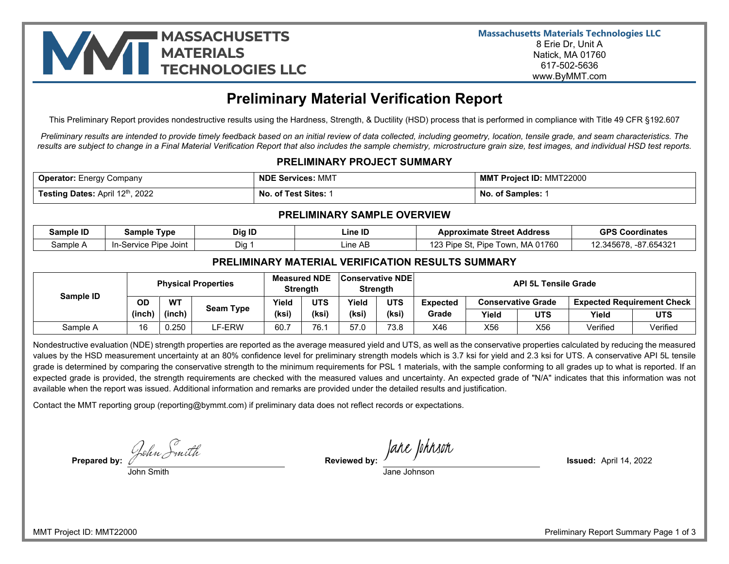

# **Preliminary Material Verification Report**

This Preliminary Report provides nondestructive results using the Hardness, Strength, & Ductility (HSD) process that is performed in compliance with Title 49 CFR §192.607

*Preliminary results are intended to provide timely feedback based on an initial review of data collected, including geometry, location, tensile grade, and seam characteristics. The results are subject to change in a Final Material Verification Report that also includes the sample chemistry, microstructure grain size, test images, and individual HSD test reports.* 

### **PRELIMINARY PROJECT SUMMARY**

| <b>Operator:</b> Energy Company        | <b>NDE Services: MMT</b> | <b>MMT Project ID: MMT22000</b> |  |  |
|----------------------------------------|--------------------------|---------------------------------|--|--|
| <b>Testing Dates: April 12th, 2022</b> | No. of Test Sites:       | <b>No. of Samples:</b>          |  |  |

#### **PRELIMINARY SAMPLE OVERVIEW**

| Sample ID | Tvpe<br>Sample                       | Dig ID       | ∟ine ID  | . Street Address<br>App<br>oximate                                  | <b>GPS C</b><br><b>Coordinates</b>          |
|-----------|--------------------------------------|--------------|----------|---------------------------------------------------------------------|---------------------------------------------|
| Sample    | - -<br>Service<br>Joint<br>Pipe<br>. | - -<br>Dia . | ∟ine AB. | 01760<br>ים ממג<br>MA<br>owr<br>Pipe<br>Pipe<br>∶ ف∡،<br>ט ר<br>ں ب | C <sub>0</sub><br>$\sim$<br>.345F<br>ישי די |

#### **PRELIMINARY MATERIAL VERIFICATION RESULTS SUMMARY**

|           | <b>Physical Properties</b> |           |               | <b>Measured NDE</b><br>Strength |                                                      | <b>Conservative NDE</b><br>Strength |                                                                | <b>API 5L Tensile Grade</b> |       |            |          |            |
|-----------|----------------------------|-----------|---------------|---------------------------------|------------------------------------------------------|-------------------------------------|----------------------------------------------------------------|-----------------------------|-------|------------|----------|------------|
| Sample ID | OD                         | <b>WT</b> | Seam Type     | Yield                           | <b>UTS</b><br><b>UTS</b><br>Yield<br><b>Expected</b> |                                     | <b>Expected Requirement Check</b><br><b>Conservative Grade</b> |                             |       |            |          |            |
|           | (inch)                     | (inch)    |               | (ksi)                           | (ksi)                                                | (ksi)                               | (ksi)                                                          | Grade                       | Yield | <b>UTS</b> | Yield    | <b>UTS</b> |
| Sample A  | 16                         | 0.250     | <b>LF-ERW</b> | 60.7                            | 76.1                                                 | 57.0                                | 73.8                                                           | X46                         | X56   | X56        | Verified | Verified   |

Nondestructive evaluation (NDE) strength properties are reported as the average measured yield and UTS, as well as the conservative properties calculated by reducing the measured values by the HSD measurement uncertainty at an 80% confidence level for preliminary strength models which is 3.7 ksi for yield and 2.3 ksi for UTS. A conservative API 5L tensile grade is determined by comparing the conservative strength to the minimum requirements for PSL 1 materials, with the sample conforming to all grades up to what is reported. If an expected grade is provided, the strength requirements are checked with the measured values and uncertainty. An expected grade of "N/A" indicates that this information was not available when the report was issued. Additional information and remarks are provided under the detailed results and justification.

Contact the MMT reporting group (reporting@bymmt.com) if preliminary data does not reflect records or expectations.

**Prepared by: Reviewed by: Issued:** April 14, 2022

John Smith Jane Johnson

MMT Project ID: MMT22000 Preliminary Report Summary Page 1 of 3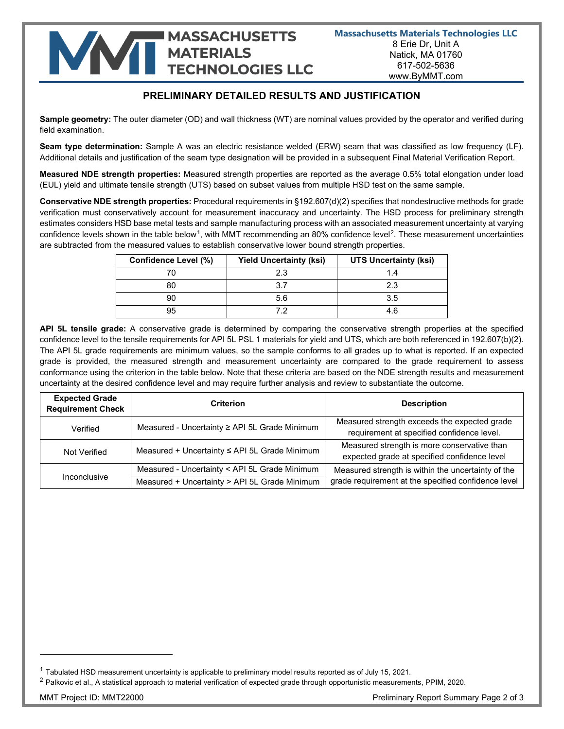# **MASSACHUSETTS NATIONAL MASSACHUSETTS**

## **PRELIMINARY DETAILED RESULTS AND JUSTIFICATION**

**Sample geometry:** The outer diameter (OD) and wall thickness (WT) are nominal values provided by the operator and verified during field examination.

**Seam type determination:** Sample A was an electric resistance welded (ERW) seam that was classified as low frequency (LF). Additional details and justification of the seam type designation will be provided in a subsequent Final Material Verification Report.

**Measured NDE strength properties:** Measured strength properties are reported as the average 0.5% total elongation under load (EUL) yield and ultimate tensile strength (UTS) based on subset values from multiple HSD test on the same sample.

**Conservative NDE strength properties:** Procedural requirements in §192.607(d)(2) specifies that nondestructive methods for grade verification must conservatively account for measurement inaccuracy and uncertainty. The HSD process for preliminary strength estimates considers HSD base metal tests and sample manufacturing process with an associated measurement uncertainty at varying confidence levels shown in the table below<sup>[1](#page-1-0)</sup>, with MMT recommending an 80% confidence level<sup>2</sup>. These measurement uncertainties are subtracted from the measured values to establish conservative lower bound strength properties.

| <b>Confidence Level (%)</b> | <b>Yield Uncertainty (ksi)</b> | <b>UTS Uncertainty (ksi)</b> |  |  |  |
|-----------------------------|--------------------------------|------------------------------|--|--|--|
|                             | 23                             | 1.4                          |  |  |  |
| 80                          | 37                             | 2.3                          |  |  |  |
| 90                          | 5.6                            | 3.5                          |  |  |  |
| 95                          |                                | 4 ค                          |  |  |  |

**API 5L tensile grade:** A conservative grade is determined by comparing the conservative strength properties at the specified confidence level to the tensile requirements for API 5L PSL 1 materials for yield and UTS, which are both referenced in 192.607(b)(2). The API 5L grade requirements are minimum values, so the sample conforms to all grades up to what is reported. If an expected grade is provided, the measured strength and measurement uncertainty are compared to the grade requirement to assess conformance using the criterion in the table below. Note that these criteria are based on the NDE strength results and measurement uncertainty at the desired confidence level and may require further analysis and review to substantiate the outcome.

| <b>Expected Grade</b><br><b>Requirement Check</b> | Criterion                                     | <b>Description</b>                                                                          |
|---------------------------------------------------|-----------------------------------------------|---------------------------------------------------------------------------------------------|
| Verified                                          | Measured - Uncertainty ≥ API 5L Grade Minimum | Measured strength exceeds the expected grade<br>requirement at specified confidence level.  |
| Not Verified                                      | Measured + Uncertainty ≤ API 5L Grade Minimum | Measured strength is more conservative than<br>expected grade at specified confidence level |
|                                                   | Measured - Uncertainty < API 5L Grade Minimum | Measured strength is within the uncertainty of the                                          |
| Inconclusive                                      | Measured + Uncertainty > API 5L Grade Minimum | grade requirement at the specified confidence level                                         |

<span id="page-1-0"></span> $1$  Tabulated HSD measurement uncertainty is applicable to preliminary model results reported as of July 15, 2021.

<span id="page-1-1"></span><sup>&</sup>lt;sup>2</sup> Palkovic et al., A statistical approach to material verification of expected grade through opportunistic measurements, PPIM, 2020.